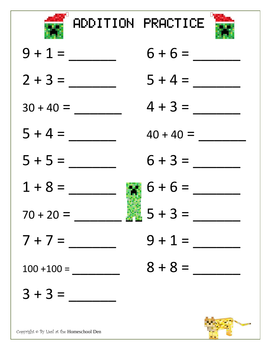

ADDITION PRACTICE



| $9 + 1 =$     | $6 + 6 =$             |
|---------------|-----------------------|
| $2 + 3 =$     | $5 + 4 =$             |
| $30 + 40 =$   | $4 + 3 =$             |
| $5 + 4 =$     | $40 + 40 =$           |
| $5 + 5 =$     | $6 + 3 =$             |
| $1 + 8 =$     | $6 + 6 =$             |
| $70 + 20 =$   | $\frac{1}{2}$ 5 + 3 = |
| $7 + 7 =$     | $9 + 1 =$             |
| $100 + 100 =$ | $8 + 8 =$             |
| $3 + 3 =$     |                       |
|               |                       |

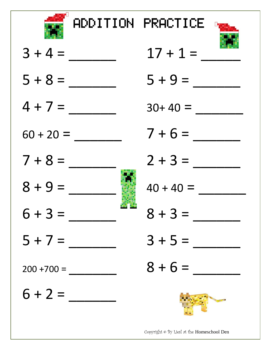

ADDITION PRACTICE D



 $3 + 4 =$  $5 + 8 =$  $4 + 7 =$  $60 + 20 =$  $7 + 8 =$  $8 + 9 =$  $6 + 3 =$  $5 + 7 =$  $200 + 700 =$  $6 + 2 =$ 

| $17 + 1 =$  |
|-------------|
| $5 + 9 =$   |
|             |
| $30+40 =$   |
| $7 + 6 =$   |
| $2 + 3 =$   |
| $40 + 40 =$ |
| $8 + 3 =$   |
| $3 + 5 =$   |
| $8 + 6 =$   |
|             |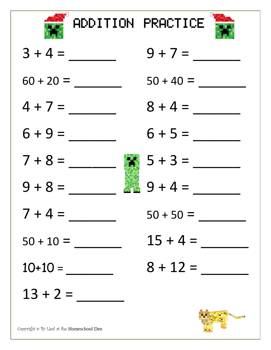

ADDITION PRACTICE



| $3 + 4 =$   | $9 + 7 =$          |
|-------------|--------------------|
| $60 + 20 =$ | $50 + 40 =$        |
| $4 + 7 =$   | $8 + 4 =$          |
| $6 + 9 =$   | $6 + 5 =$          |
| $7 + 8 =$   | $5 + 3 =$<br>93    |
| $9 + 8 =$   | $9 + 4 =$          |
| $7 + 4 =$   | $50 + 50 =$        |
| $50 + 10 =$ | $15 + 4 =$         |
| $10+10 =$   | $8 + 12 =$         |
| $13 + 2 =$  |                    |
|             | <b>RANGE STRAN</b> |

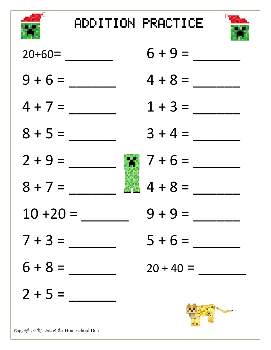



| $20+60=$                                   | $6 + 9 =$   |
|--------------------------------------------|-------------|
| $9 + 6 =$                                  | $4 + 8 =$   |
| $4 + 7 =$                                  | $1 + 3 =$   |
| $8 + 5 =$                                  | $3 + 4 =$   |
| $2 + 9 =$                                  | $7 + 6 =$   |
| $8 + 7 =$                                  | $4 + 8 =$   |
| $10 + 20 =$                                | $9 + 9 =$   |
| $7 + 3 =$                                  | $5 + 6 =$   |
| $6 + 8 =$                                  | $20 + 40 =$ |
| $2 + 5 =$                                  |             |
| Copyright @ By Liesl at the Homeschool Den |             |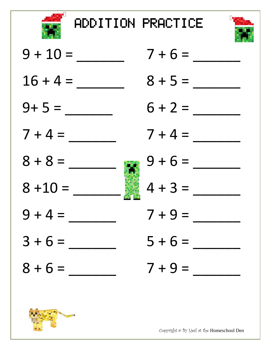

ADDITION PRACTICE



| $9 + 10 =$ |   | $7 + 6$ |
|------------|---|---------|
| $16 + 4 =$ |   | $8 + 5$ |
| $9+5=$     |   | $6 + 2$ |
| $7 + 4 =$  |   | $7 + 4$ |
| $8 + 8 =$  | æ | $9 + 6$ |
| $8 + 10 =$ |   | $4 + 3$ |
| $9 + 4 =$  |   | $7 + 9$ |
| $3 + 6 =$  |   | $5 + 6$ |
| $8 + 6 =$  |   | $7 + 9$ |
|            |   |         |





Copyright © By Liesl at the Homeschool Den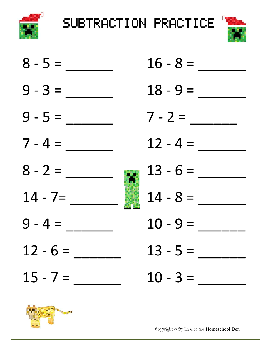

SUBTRACTION PRACTICE







Copyright © By Liesl at the Homeschool Den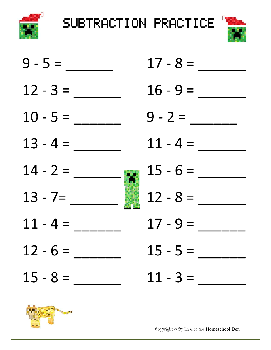

SUBTRACTION PRACTICE